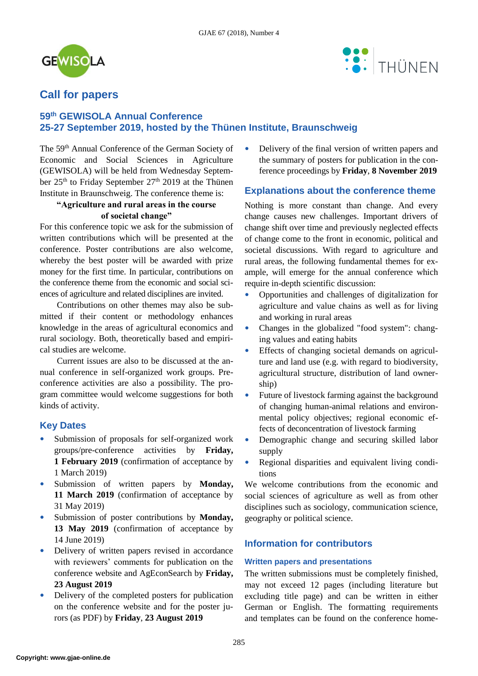



# **Call for papers**

## **59th GEWISOLA Annual Conference 25-27 September 2019, hosted by the Thünen Institute, Braunschweig**

The 59<sup>th</sup> Annual Conference of the German Society of Economic and Social Sciences in Agriculture (GEWISOLA) will be held from Wednesday September 25<sup>th</sup> to Friday September 27<sup>th</sup> 2019 at the Thünen Institute in Braunschweig. The conference theme is:

### **"Agriculture and rural areas in the course of societal change"**

For this conference topic we ask for the submission of written contributions which will be presented at the conference. Poster contributions are also welcome, whereby the best poster will be awarded with prize money for the first time. In particular, contributions on the conference theme from the economic and social sciences of agriculture and related disciplines are invited.

Contributions on other themes may also be submitted if their content or methodology enhances knowledge in the areas of agricultural economics and rural sociology. Both, theoretically based and empirical studies are welcome.

Current issues are also to be discussed at the annual conference in self-organized work groups. Preconference activities are also a possibility. The program committee would welcome suggestions for both kinds of activity.

## **Key Dates**

- Submission of proposals for self-organized work groups/pre-conference activities by **Friday, 1 February 2019** (confirmation of acceptance by 1 March 2019)
- Submission of written papers by **Monday, 11 March 2019** (confirmation of acceptance by 31 May 2019)
- Submission of poster contributions by **Monday, 13 May 2019** (confirmation of acceptance by 14 June 2019)
- Delivery of written papers revised in accordance with reviewers' comments for publication on the conference website and AgEconSearch by **Friday, 23 August 2019**
- Delivery of the completed posters for publication on the conference website and for the poster jurors (as PDF) by **Friday**, **23 August 2019**

• Delivery of the final version of written papers and the summary of posters for publication in the conference proceedings by **Friday**, **8 November 2019**

## **Explanations about the conference theme**

Nothing is more constant than change. And every change causes new challenges. Important drivers of change shift over time and previously neglected effects of change come to the front in economic, political and societal discussions. With regard to agriculture and rural areas, the following fundamental themes for example, will emerge for the annual conference which require in-depth scientific discussion:

- Opportunities and challenges of digitalization for agriculture and value chains as well as for living and working in rural areas
- Changes in the globalized "food system": changing values and eating habits
- Effects of changing societal demands on agriculture and land use (e.g. with regard to biodiversity, agricultural structure, distribution of land ownership)
- Future of livestock farming against the background of changing human-animal relations and environmental policy objectives; regional economic effects of deconcentration of livestock farming
- Demographic change and securing skilled labor supply
- Regional disparities and equivalent living conditions

We welcome contributions from the economic and social sciences of agriculture as well as from other disciplines such as sociology, communication science, geography or political science.

## **Information for contributors**

### **Written papers and presentations**

The written submissions must be completely finished, may not exceed 12 pages (including literature but excluding title page) and can be written in either German or English. The formatting requirements and templates can be found on the conference home-